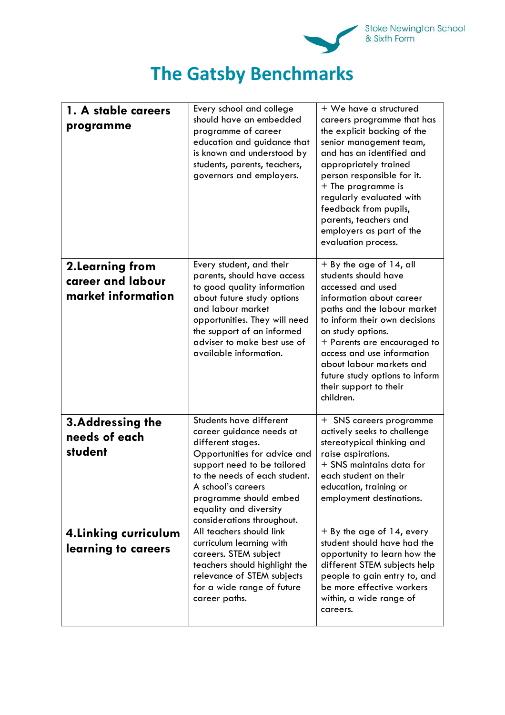

## **The Gatsby Benchmarks**

| 1. A stable careers<br>programme                            | Every school and college<br>should have an embedded<br>programme of career<br>education and guidance that<br>is known and understood by<br>students, parents, teachers,<br>governors and employers.                                                                              | + We have a structured<br>careers programme that has<br>the explicit backing of the<br>senior management team,<br>and has an identified and<br>appropriately trained<br>person responsible for it.<br>+ The programme is<br>regularly evaluated with<br>feedback from pupils,<br>parents, teachers and<br>employers as part of the<br>evaluation process. |
|-------------------------------------------------------------|----------------------------------------------------------------------------------------------------------------------------------------------------------------------------------------------------------------------------------------------------------------------------------|-----------------------------------------------------------------------------------------------------------------------------------------------------------------------------------------------------------------------------------------------------------------------------------------------------------------------------------------------------------|
| 2. Learning from<br>career and labour<br>market information | Every student, and their<br>parents, should have access<br>to good quality information<br>about future study options<br>and labour market<br>opportunities. They will need<br>the support of an informed<br>adviser to make best use of<br>available information.                | $+$ By the age of 14, all<br>students should have<br>accessed and used<br>information about career<br>paths and the labour market<br>to inform their own decisions<br>on study options.<br>+ Parents are encouraged to<br>access and use information<br>about labour markets and<br>future study options to inform<br>their support to their<br>children. |
| 3. Addressing the<br>needs of each<br>student               | Students have different<br>career guidance needs at<br>different stages.<br>Opportunities for advice and<br>support need to be tailored<br>to the needs of each student.<br>A school's careers<br>programme should embed<br>equality and diversity<br>considerations throughout. | + SNS careers programme<br>actively seeks to challenge<br>stereotypical thinking and<br>raise aspirations.<br>+ SNS maintains data for<br>each student on their<br>education, training or<br>employment destinations.                                                                                                                                     |
| 4. Linking curriculum<br>learning to careers                | All teachers should link<br>curriculum learning with<br>careers. STEM subject<br>teachers should highlight the<br>relevance of STEM subjects<br>for a wide range of future<br>career paths.                                                                                      | + By the age of 14, every<br>student should have had the<br>opportunity to learn how the<br>different STEM subjects help<br>people to gain entry to, and<br>be more effective workers<br>within, a wide range of<br>careers.                                                                                                                              |